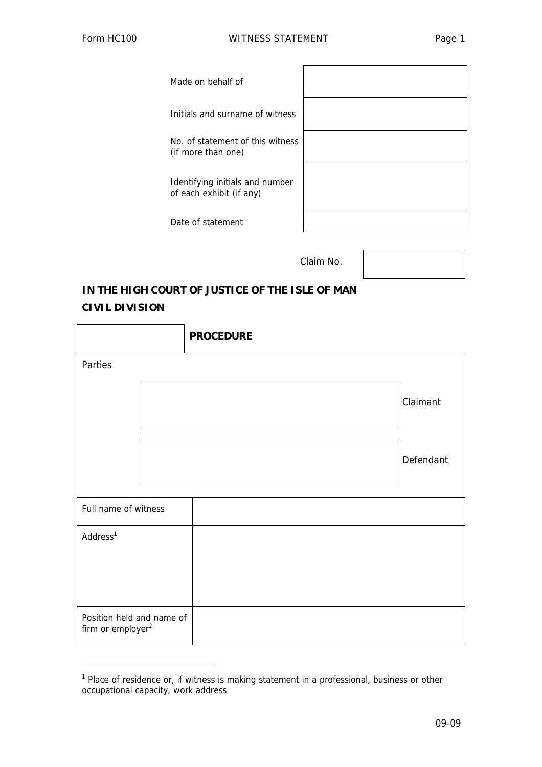j

| Made on behalf of                                           |  |
|-------------------------------------------------------------|--|
| Initials and surname of witness                             |  |
| No. of statement of this witness<br>(if more than one)      |  |
| Identifying initials and number<br>of each exhibit (if any) |  |
| Date of statement                                           |  |

Claim No.

## **IN THE HIGH COURT OF JUSTICE OF THE ISLE OF MAN CIVIL DIVISION**

|                                                  |  | <b>PROCEDURE</b> |           |  |  |  |
|--------------------------------------------------|--|------------------|-----------|--|--|--|
| Parties                                          |  |                  |           |  |  |  |
|                                                  |  |                  | Claimant  |  |  |  |
|                                                  |  |                  | Defendant |  |  |  |
| Full name of witness                             |  |                  |           |  |  |  |
| Address <sup>1</sup>                             |  |                  |           |  |  |  |
| Position held and name of<br>firm or $employer2$ |  |                  |           |  |  |  |

<sup>&</sup>lt;sup>1</sup> Place of residence or, if witness is making statement in a professional, business or other occupational capacity, work address